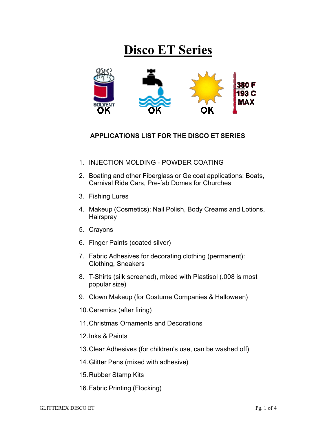## **Disco ET Series**



## **APPLICATIONS LIST FOR THE DISCO ET SERIES**

- 1. INJECTION MOLDING POWDER COATING
- 2. Boating and other Fiberglass or Gelcoat applications: Boats, Carnival Ride Cars, Pre-fab Domes for Churches
- 3. Fishing Lures
- 4. Makeup (Cosmetics): Nail Polish, Body Creams and Lotions, **Hairspray**
- 5. Crayons
- 6. Finger Paints (coated silver)
- 7. Fabric Adhesives for decorating clothing (permanent): Clothing, Sneakers
- 8. T-Shirts (silk screened), mixed with Plastisol (.008 is most popular size)
- 9. Clown Makeup (for Costume Companies & Halloween)
- 10.Ceramics (after firing)
- 11.Christmas Ornaments and Decorations
- 12.Inks & Paints
- 13.Clear Adhesives (for children's use, can be washed off)
- 14.Glitter Pens (mixed with adhesive)
- 15.Rubber Stamp Kits
- 16.Fabric Printing (Flocking)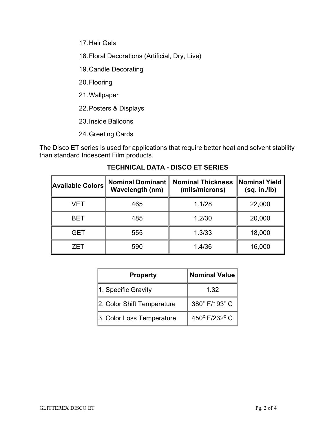17.Hair Gels

18.Floral Decorations (Artificial, Dry, Live)

19.Candle Decorating

20.Flooring

21.Wallpaper

22.Posters & Displays

23.Inside Balloons

24.Greeting Cards

The Disco ET series is used for applications that require better heat and solvent stability than standard Iridescent Film products.

| <b>Available Colors</b> | <b>Nominal Dominant</b><br><b>Wavelength (nm)</b> | <b>Nominal Thickness</b><br>(mils/microns) | Nominal Yield<br>(sq. in. / lb) |  |
|-------------------------|---------------------------------------------------|--------------------------------------------|---------------------------------|--|
| VET                     | 465                                               | 1.1/28                                     | 22,000                          |  |
| <b>BET</b>              | 485                                               | 1.2/30                                     | 20,000                          |  |
| <b>GET</b>              | 555                                               | 1.3/33                                     | 18,000                          |  |
| ZET                     | 590                                               | 1.4/36                                     | 16,000                          |  |

## **TECHNICAL DATA - DISCO ET SERIES**

| <b>Property</b>            | <b>Nominal Value</b> |  |  |
|----------------------------|----------------------|--|--|
| 1. Specific Gravity        | 1.32                 |  |  |
| 2. Color Shift Temperature | 380° F/193° C        |  |  |
| 3. Color Loss Temperature  | 450° F/232° C        |  |  |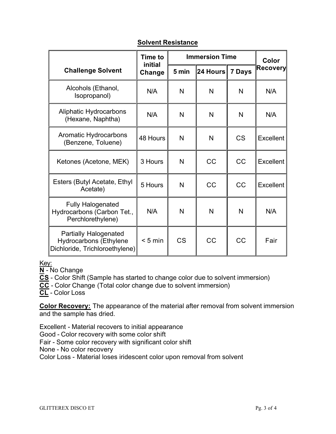|                                                                                          | <b>Time to</b><br>initial<br>Change | <b>Immersion Time</b> |              |           | Color            |
|------------------------------------------------------------------------------------------|-------------------------------------|-----------------------|--------------|-----------|------------------|
| <b>Challenge Solvent</b>                                                                 |                                     | 5 min                 | 24 Hours     | 7 Days    | <b>Recovery</b>  |
| Alcohols (Ethanol,<br>Isopropanol)                                                       | N/A                                 | N                     | N            | N         | N/A              |
| Aliphatic Hydrocarbons<br>(Hexane, Naphtha)                                              | N/A                                 | N                     | N            | N         | N/A              |
| Aromatic Hydrocarbons<br>(Benzene, Toluene)                                              | 48 Hours                            | N                     | N            | <b>CS</b> | <b>Excellent</b> |
| Ketones (Acetone, MEK)                                                                   | 3 Hours                             | N                     | CC           | CC        | <b>Excellent</b> |
| Esters (Butyl Acetate, Ethyl<br>Acetate)                                                 | 5 Hours                             | N                     | CC           | CC        | Excellent        |
| <b>Fully Halogenated</b><br>Hydrocarbons (Carbon Tet.,<br>Perchlorethylene)              | N/A                                 | N                     | $\mathsf{N}$ | N         | N/A              |
| Partially Halogenated<br><b>Hydrocarbons (Ethylene</b><br>Dichloride, Trichloroethylene) | $< 5$ min                           | <b>CS</b>             | CC           | CC        | Fair             |

## **Solvent Resistance**

Key:

**N** - No Change

**CS** - Color Shift (Sample has started to change color due to solvent immersion)

**CC** - Color Change (Total color change due to solvent immersion)

**CL** - Color Loss

**Color Recovery:** The appearance of the material after removal from solvent immersion and the sample has dried.

Excellent - Material recovers to initial appearance Good - Color recovery with some color shift Fair - Some color recovery with significant color shift None - No color recovery Color Loss - Material loses iridescent color upon removal from solvent